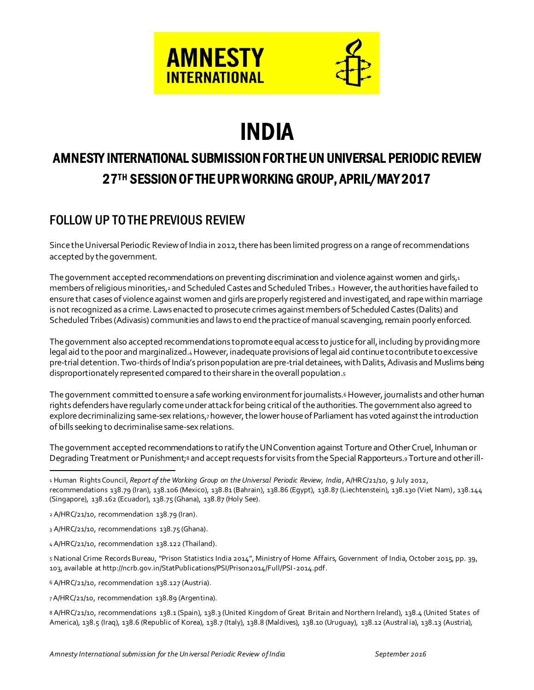



# INDIA

# AMNESTY INTERNATIONAL SUBMISSION FOR THE UN UNIVERSAL PERIODIC REVIEW 27TH SESSION OF THE UPR WORKING GROUP, APRIL/MAY 2017

# FOLLOW UP TOTHE PREVIOUS REVIEW

Since the Universal Periodic Review of India in 2012, there has been limited progress on a range of recommendations accepted by the government.

The government accepted recommendations on preventing discrimination and violence against women and girls, $i$ members of religious minorities,<sup>2</sup> and Scheduled Castes and Scheduled Tribes.<sup>3</sup> However, the authorities have failed to ensure that cases of violence against women and girls are properly registered and investigated, and rape within marriage is not recognized as a crime. Laws enacted to prosecute crimes against members of Scheduled Castes (Dalits) and Scheduled Tribes (Adivasis) communities and laws to end the practice of manual scavenging, remain poorly enforced.

The government also accepted recommendations to promote equal access to justice for all, including by providing more legal aid to the poor and marginalized.4 However, inadequate provisions of legal aid continue to contribute to excessive pre-trial detention. Two-thirds of India's prison population are pre-trial detainees, with Dalits, Adivasis and Muslims being disproportionately represented compared to their share in the overall population.<sup>5</sup>

The government committed to ensure a safe working environment for journalists.<sup>6</sup> However, journalists and other human rights defenders have regularly come under attack for being critical of the authorities. The government also agreed to explore decriminalizing same-sex relations,7 however, the lower house of Parliament has voted against the introduction of bills seeking to decriminalise same-sex relations.

The government accepted recommendations to ratify the UN Convention against Torture and Other Cruel, Inhuman or Degrading Treatment or Punishment;<sup>8</sup> and accept requests for visits from the Special Rapporteurs.<sup>9</sup> Torture and other ill-

- 3 A/HRC/21/10, recommendations 138.75 (Ghana).
- 4 A/HRC/21/10, recommendation 138.122 (Thailand).

5 National Crime Records Bureau, "Prison Statistics India 2014", Ministry of Home Affairs, Government of India, October 2015, pp. 39, 103, available at http://ncrb.gov.in/StatPublications/PSI/Prison2014/Full/PSI-2014.pdf.

6 A/HRC/21/10, recommendation 138.127 (Austria).

7A/HRC/21/10, recommendation 138.89 (Argentina).

8 A/HRC/21/10, recommendations 138.1 (Spain), 138.3 (United Kingdom of Great Britain and Northern Ireland), 138.4 (United States of America), 138.5 (Iraq), 138.6 (Republic of Korea), 138.7 (Italy), 138.8 (Maldives), 138.10 (Uruguay), 138.12 (Austral ia), 138.13 (Austria),

l 1 Human Rights Council*, Report of the Working Group on the Universal Periodic Review, India*, A/HRC/21/10, 9 July 2012, recommendations 138.79 (Iran), 138.106 (Mexico), 138.81 (Bahrain), 138.86 (Egypt), 138.87 (Liechtenstein), 138.130 (Viet Nam), 138.144 (Singapore), 138.162 (Ecuador), 138.75 (Ghana), 138.87 (Holy See).

<sup>2</sup> A/HRC/21/10, recommendation 138.79 (Iran).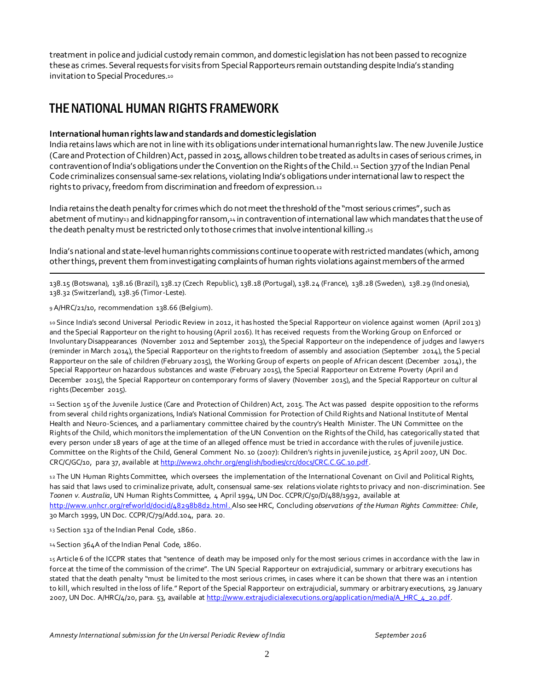treatment in police and judicial custody remain common, and domestic legislation has not been passed to recognize these as crimes. Several requests for visits from Special Rapporteurs remain outstanding despite India's standing invitation to Special Procedures.10

## THE NATIONAL HUMAN RIGHTS FRAMEWORK

#### **International human rights lawandstandardsanddomesticlegislation**

India retains laws which are not in line with its obligations under international human rights law. The new Juvenile Justice (Care and Protection of Children) Act, passed in 2015, allows children to be treated as adults in cases of serious crimes, in contravention of India's obligations under the Convention on the Rights of the Child.<sup>11</sup> Section 377 of the Indian Penal Code criminalizes consensual same-sex relations, violating India's obligations under international law to respect the rights to privacy, freedom from discrimination and freedom of expression.<sup>12</sup>

India retains the death penalty for crimes which do not meet the threshold of the "most serious crimes", such as abetment of mutiny<sub>13</sub> and kidnapping for ransom,<sub>14</sub> in contravention of international law which mandates that the use of the death penalty must be restricted only to those crimes that involve intentional killing.15

India's national and state-level human rights commissions continue to operate with restricted mandates (which, among other things,prevent them from investigating complaints of human rights violations against members of the armed

138.15 (Botswana), 138.16 (Brazil), 138.17 (Czech Republic), 138.18 (Portugal), 138.24 (France), 138.28 (Sweden), 138.29 (Ind onesia), 138.32 (Switzerland), 138.36 (Timor-Leste).

9 A/HRC/21/10, recommendation 138.66 (Belgium).

.

10 Since India's second Universal Periodic Review in 2012, it has hosted the Special Rapporteur on violence against women (April 2013) and the Special Rapporteur on the right to housing (April 2016). It has received requests from the Working Group on Enforced or Involuntary Disappearances (November 2012 and September 2013), the Special Rapporteur on the independence of judges and lawyers (reminder in March 2014), the Special Rapporteur on the rights to freedom of assembly and association (September 2014), the Special Rapporteur on the sale of children (February 2015), the Working Group of experts on people of African descent (December 2014), the Special Rapporteur on hazardous substances and waste (February 2015), the Special Rapporteur on Extreme Poverty (April an d December 2015), the Special Rapporteur on contemporary forms of slavery (November 2015), and the Special Rapporteur on cultur al rights (December 2015).

11 Section 15 of the Juvenile Justice (Care and Protection of Children) Act, 2015. The Act was passed despite opposition to the reforms from several child rights organizations, India's National Commission for Protection of Child Rights and National Institute of Mental Health and Neuro-Sciences, and a parliamentary committee chaired by the country's Health Minister. The UN Committee on the Rights of the Child, which monitors the implementation of the UN Convention on the Rights of the Child, has categorically stated that every person under 18 years of age at the time of an alleged offence must be tried in accordance with the rules of juvenile justice. Committee on the Rights of the Child, General Comment No. 10 (2007): Children's rights in juvenile justice, 25 April 2007, UN Doc. CRC/C/GC/10, para 37, available a[t http://www2.ohchr.org/english/bodies/crc/docs/CRC.C.GC.10.pdf.](http://www2.ohchr.org/english/bodies/crc/docs/CRC.C.GC.10.pdf) 

12 The UN Human Rights Committee, which oversees the implementation of the International Covenant on Civil and Political Rights, has said that laws used to criminalize private, adult, consensual same-sex relations violate rights to privacy and non-discrimination. See *Toonen v. Australia*, UN Human Rights Committee, 4 April 1994, UN Doc. CCPR/C/50/D/488/1992, available at <http://www.unhcr.org/refworld/docid/48298b8d2.html>. Also see HRC, Concluding *observations of the Human Rights Committee: Chile*, 30 March 1999, UN Doc. CCPR/C/79/Add.104, para. 20.

13 Section 132 of the Indian Penal Code, 1860.

14 Section 364A of the Indian Penal Code, 1860.

15 Article 6 of the ICCPR states that "sentence of death may be imposed only for the most serious crimes in accordance with the law in force at the time of the commission of the crime". The UN Special Rapporteur on extrajudicial, summary or arbitrary executions has stated that the death penalty "must be limited to the most serious crimes, in cases where it can be shown that there was an i ntention to kill, which resulted in the loss of life." Report of the Special Rapporteur on extrajudicial, summary or arbitrary executions, 29 January 2007, UN Doc. A/HRC/4/20, para. 53, available at http://www.extrajudicialexecutions.org/application/media/A\_HRC\_4\_20.pdf.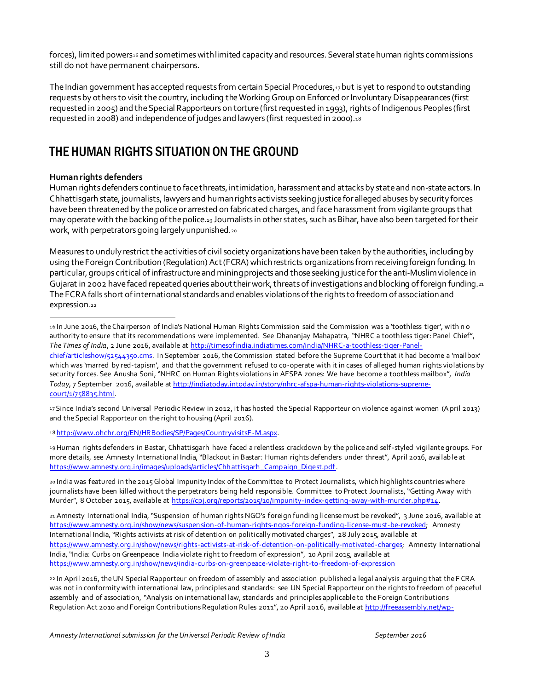forces), limited powers<sup>16</sup> and sometimes with limited capacity and resources. Several state human rights commissions still do not have permanent chairpersons.

The Indian government has accepted requests from certain Special Procedures, 17 but is yet to respond to outstanding requests by others to visit the country, including the Working Group on Enforced or Involuntary Disappearances (first requested in 2005) and the Special Rapporteurs on torture (first requested in 1993), rights of Indigenous Peoples (first requested in 2008) and independence of judges and lawyers (first requested in 2000).<sup>18</sup>

# THE HUMAN RIGHTS SITUATION ON THE GROUND

#### **Human rights defenders**

l

Human rights defenders continue to face threats, intimidation, harassment and attacks by state and non-state actors. In Chhattisgarh state, journalists, lawyers and human rights activists seeking justice for alleged abuses by security forces have been threatened by the police or arrested on fabricated charges, and face harassment from vigilante groups that may operate with the backing of the police.<sup>19</sup> Journalists in other states, such as Bihar,have also been targeted for their work, with perpetrators going largely unpunished.<sup>20</sup>

Measures to unduly restrict the activities of civil society organizations have been taken by the authorities, including by using the Foreign Contribution (Regulation) Act (FCRA) which restricts organizations from receiving foreign funding. In particular, groups critical of infrastructure and mining projects and those seeking justice for the anti-Muslim violence in Gujarat in 2002 have faced repeated queries about their work, threats of investigations and blocking of foreign funding.<sup>21</sup> The FCRA falls short of international standards and enables violations of the rights to freedom of association and expression.<sup>22</sup>

19Human rights defenders in Bastar, Chhattisgarh have faced a relentless crackdown by the police and self-styled vigilante groups. For more details, see Amnesty International India, "Blackout in Bastar: Human rights defenders under threat", April 2016, availab le at https://www.amnesty.org.in/images/uploads/articles/Chhattisgarh Camp aign Digest.pdf.

20 India was featured in the 2015 Global Impunity Index of the Committee to Protect Journalist s, which highlights countries where journalists have been killed without the perpetrators being held responsibl[e.](https://www.amnesty.org.in/show/news/authorities-must-end-impunity-for-attacks-on-journalists) Committee to Protect Journalists, "Getting Away with Murder", 8 October 2015, available at [https://cpj.org/reports/2015/10/impunity-index-getting-away-with-murder.php#14.](https://cpj.org/reports/2015/10/impunity-index-getting-away-with-murder.php#14)

<sup>16</sup> In June 2016, the Chairperson of India's National Human Rights Commission said the Commission was a 'toothless tiger', with n o authority to ensure that its recommendations were implemented. See Dhananjay Mahapatra, "NHRC a toothless tiger: Panel Chief", *The Times of India*, 2 June 2016, available at [http://timesofindia.indiatimes.com/india/NHRC-a-toothless-tiger-Panel](http://timesofindia.indiatimes.com/india/NHRC-a-toothless-tiger-Panel-chief/articleshow/52544350.cms)[chief/articleshow/52544350.cms](http://timesofindia.indiatimes.com/india/NHRC-a-toothless-tiger-Panel-chief/articleshow/52544350.cms). In September 2016, the Commission stated before the Supreme Court that it had become a 'mailbox' which was 'marred by red-tapism', and that the government refused to co-operate with it in cases of alleged human rights violations by security forces. See Anusha Soni, "NHRC on Human Rights violations in AFSPA zones: We have become a toothless mailbox", *India Today*, 7 September 2016, available a[t http://indiatoday.intoday.in/story/nhrc-afspa-human-rights-violations-supreme](http://indiatoday.intoday.in/story/nhrc-afspa-human-rights-violations-supreme-court/1/758835.html)[court/1/758835.html.](http://indiatoday.intoday.in/story/nhrc-afspa-human-rights-violations-supreme-court/1/758835.html)

<sup>17</sup> Since India's second Universal Periodic Review in 2012, it has hosted the Special Rapporteur on violence against women (April 2013) and the Special Rapporteur on the right to housing (April 2016).

<sup>18</sup> [http://www.ohchr.org/EN/HRBodies/SP/Pages/CountryvisitsF-M.aspx.](http://www.ohchr.org/EN/HRBodies/SP/Pages/CountryvisitsF-M.aspx) 

<sup>21</sup> Amnesty International India, "Suspension of human rights NGO's foreign funding license must be revoked", 3 June 2016, available at [https://www.amnesty.org.in/show/news/suspen sion-of-human-rights-ngos-foreign-funding-license-must-be-revoked;](https://www.amnesty.org.in/show/news/suspension-of-human-rights-ngos-foreign-funding-license-must-be-revoked) Amnesty International India, "Rights activists at risk of detention on politically motivated charges", 28 July 2015, available at [https://www.amnesty.org.in/show/news/rights-activists-at-risk-of-detention-on-politically-motivated-charges;](https://www.amnesty.org.in/show/news/rights-activists-at-risk-of-detention-on-politically-motivated-charges) Amnesty International India, "India: Curbs on Greenpeace India violate right to freedom of expression", 10 April 2015, available at <https://www.amnesty.org.in/show/news/india-curbs-on-greenpeace-violate-right-to-freedom-of-expression>

<sup>22</sup> In April 2016, the UN Special Rapporteur on freedom of assembly and association published a legal analysis arguing that the F CRA was not in conformity with international law, principles and standards: see UN Special Rapporteur on the rights to freedom of peaceful assembly and of association, "Analysis on international law, standards and principles applicable to the Foreign Contributions Regulation Act 2010 and Foreign Contributions Regulation Rules 2011", 20 April 2016, available a[t http://freeassembly.net/wp-](http://freeassembly.net/wp-content/uploads/2016/04/UNSR-FOAA-info-note-India.pdf)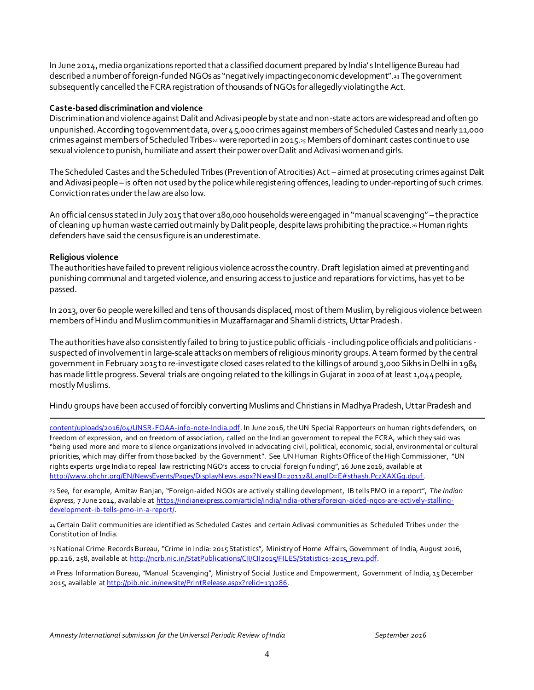In June 2014, media organizations reported that a classified document prepared by India's Intelligence Bureau had described a number of foreign-funded NGOs as "negatively impacting economic development".<sup>23</sup> The government subsequently cancelled the FCRA registration of thousands of NGOs for allegedly violating the Act.

#### **Caste-based discrimination and violence**

Discrimination and violence against Dalit and Adivasi people by state and non-state actors arewidespread and often go unpunished. According to government data, over 45,000 crimes against members of Scheduled Castes and nearly 11,000 crimes against members of Scheduled Tribes<sub>24</sub> were reported in 2015.<sup>25</sup> Members of dominant castes continue to use sexual violence to punish, humiliate and assert their power over Dalit and Adivasi women and girls.

The Scheduled Castes and the Scheduled Tribes (Prevention of Atrocities) Act – aimed at prosecuting crimes against Dalit and Adivasi people – is often not used by the police while registering offences, leading to under-reporting of such crimes. Conviction rates under the law are also low.

An official census stated in July 2015 that over 180,000 households were engaged in "manual scavenging" – the practice of cleaning up human waste carried out mainly by Dalit people, despite laws prohibiting the practice.26 Human rights defenders have said the census figure is an underestimate.

#### **Religious violence**

The authorities have failed to prevent religious violence across the country. Draft legislation aimed at preventing and punishing communal and targeted violence, and ensuring access to justice and reparations for victims, has yet to be passed.

In 2013, over 60 peoplewere killed and tens of thousands displaced, most of them Muslim, by religious violence between members of Hindu and Muslim communities in Muzaffarnagar and Shamli districts, Uttar Pradesh.

The authorities have also consistently failed to bring to justice public officials -including police officials and politicians suspected of involvement in large-scale attacks on members of religious minority groups. A team formed by the central government in February 2015 to re-investigate closed cases related to the killings of around 3,000 Sikhs in Delhi in 1984 has made little progress. Several trials are ongoing related to the killings in Gujarat in 2002 of at least 1,044 people, mostly Muslims.

Hindu groups have been accused of forcibly converting Muslims and Christians in Madhya Pradesh, Uttar Pradesh and

. [content/uploads/2016/04/UNSR-FOAA-info-note-India.pdf.](http://freeassembly.net/wp-content/uploads/2016/04/UNSR-FOAA-info-note-India.pdf) In June 2016, the UN Special Rapporteurs on human rights defenders, on freedom of expression, and on freedom of association, called on the Indian government to repeal the FCRA, which they said was "being used more and more to silence organizations involved in advocating civil, political, economic, social, environmental or cultural priorities, which may differ from those backed by the Government". See UN Human Rights Office of the High Commissioner, "UN rights experts urge India to repeal law restricting NGO's access to crucial foreign funding", 16 June 2016, available at [http://www.ohchr.org/EN/NewsEvents/Pages/DisplayN ews.aspx?N ewsI D=20112&LangID=E#sthash.PczXAXGg.dpuf](http://www.ohchr.org/EN/NewsEvents/Pages/DisplayNews.aspx?NewsID=20112&LangID=E#sthash.PczXAXGg.dpuf) .

23 See, for example, Amitav Ranjan, "Foreign-aided NGOs are actively stalling development, IB tells PMO in a report", *The Indian Express*, 7 June 2014, available at [https://indianexpress.com/article/india/india-others/foreign-aided-ngos-are-actively-stalling](https://indianexpress.com/article/india/india-others/foreign-aided-ngos-are-actively-stalling-development-ib-tells-pmo-in-a-report/)[development-ib-tells-pmo-in-a-report/.](https://indianexpress.com/article/india/india-others/foreign-aided-ngos-are-actively-stalling-development-ib-tells-pmo-in-a-report/) 

24 Certain Dalit communities are identified as Scheduled Castes and certain Adivasi communities as Scheduled Tribes under the Constitution of India.

25 National Crime Records Bureau, "Crime in India: 2015 Statistics", Ministry of Home Affairs, Government of India, August 2016, pp.226, 258, available a[t http://ncrb.nic.in/StatPublications/CII/CII2015/FILES/Statistics-2015\\_rev1.pdf.](http://ncrb.nic.in/StatPublications/CII/CII2015/FILES/Statistics-2015_rev1.pdf)

26 Press Information Bureau, "Manual Scavenging", Ministry of Social Justice and Empowerment, Government of India, 15 December 2015, available a[t http://pib.nic.in/newsite/PrintRelease.aspx?relid=133286.](http://pib.nic.in/newsite/PrintRelease.aspx?relid=133286)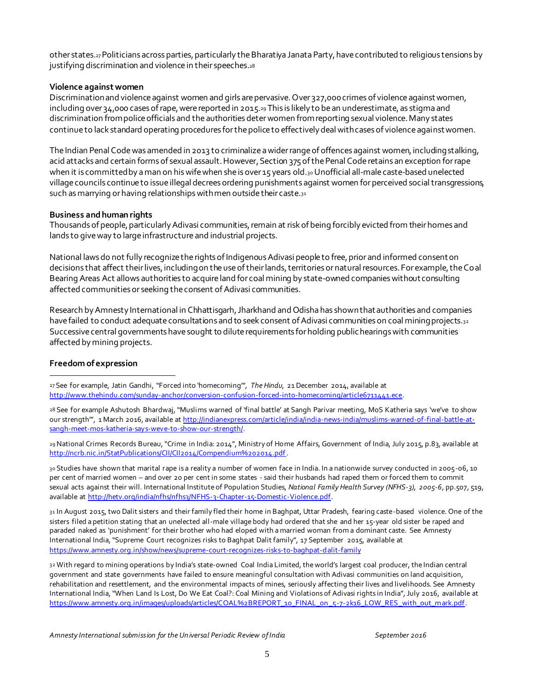other states.27Politicians across parties, particularly the Bharatiya Janata Party, have contributed to religious tensions by justifying discrimination and violence in their speeches.<sup>28</sup>

#### **Violence against women**

Discrimination and violence against women and girls are pervasive. Over 327,000 crimes of violence against women, including over 34,000 cases of rape, were reported in 2015.<sup>29</sup> This is likely to be an underestimate, as stigma and discrimination from police officials and the authorities deter women from reporting sexual violence. Many states continue to lack standard operating procedures for the police to effectively deal with cases of violence against women.

The Indian Penal Code was amended in 2013 to criminalize a wider range of offences against women, including stalking, acid attacks and certain forms of sexual assault. However, Section 375 of the Penal Code retains an exception for rape when it is committed by a man on his wife when she is over 15 years old.30 Unofficial all-male caste-based unelected village councils continue to issue illegal decrees ordering punishments against women for perceived social transgressions, such as marrying or having relationships with men outside their caste.<sup>31</sup>

#### **Business and human rights**

Thousands of people, particularly Adivasi communities, remain at risk of being forcibly evicted from their homes and lands to give way to large infrastructure and industrial projects.

National laws do not fully recognize the rights of Indigenous Adivasi people to free, prior and informed consent on decisions that affect their lives, including on the use of their lands, territories or natural resources. For example, the Coal Bearing Areas Act allows authorities to acquire land for coal mining by state-owned companies without consulting affected communities or seeking the consent of Adivasi communities.

Research by Amnesty International in Chhattisgarh, Jharkhand and Odisha has shown that authorities and companies have failed to conduct adequate consultations and to seek consent of Adivasi communities on coal mining projects.32 Successive central governments have sought to dilute requirements for holding public hearings with communities affected by mining projects.

#### **Freedom of expression**

l

27 See for example, Jatin Gandhi, "Forced into 'homecoming'", *The Hindu*, 21 December 2014, available at [http://www.thehindu.com/sunday-anchor/conversion-confusion-forced-into-homecoming/article6711441.ece.](http://www.thehindu.com/sunday-anchor/conversion-confusion-forced-into-homecoming/article6711441.ece)

28 See for example Ashutosh Bhardwaj, "Muslims warned of 'final battle' at Sangh Parivar meeting, MoS Katheria says 'we've to show our strength", 1 March 2016, available at [http://indianexpress.com/article/india/india-news-india/muslims-warned-of-final-battle-at](http://indianexpress.com/article/india/india-news-india/muslims-warned-of-final-battle-at-sangh-meet-mos-katheria-says-weve-to-show-our-strength/)[sangh-meet-mos-katheria-says-weve-to-show-our-strength/.](http://indianexpress.com/article/india/india-news-india/muslims-warned-of-final-battle-at-sangh-meet-mos-katheria-says-weve-to-show-our-strength/)

29National Crimes Records Bureau, "Crime in India: 2014", Ministry of Home Affairs, Government of India, July 2015, p.83, available at [http://ncrb.nic.in/StatPublications/CII/CII2014/Compendium%202014.pdf.](http://ncrb.nic.in/StatPublications/CII/CII2014/Compendium%202014.pdf)

30 Studies have shown that marital rape is a reality a number of women face in India. In a nationwide survey conducted in 2005-06, 10 per cent of married women – and over 20 per cent in some states - said their husbands had raped them or forced them to commit sexual acts against their will. International Institute of Population Studies, *National Family Health Survey (NFHS-3), 2005-6*, pp.507, 519, available at [http://hetv.org/india/nfhs/nfhs3/NFHS-3-Chapter-15-Domestic-Violence.pdf.](http://hetv.org/india/nfhs/nfhs3/NFHS-3-Chapter-15-Domestic-Violence.pdf)

31 In August 2015, two Dalit sisters and their family fled their home in Baghpat, Uttar Pradesh, fearing caste-based violence. One of the sisters filed a petition stating that an unelected all-male village body had ordered that she and her 15-year old sister be raped and paraded naked as 'punishment' for their brother who had eloped with a married woman from a dominant caste. See Amnesty International India, "Supreme Court recognizes risks to Baghpat Dalit family", 17 September 2015, available at <https://www.amnesty.org.in/show/news/supreme-court-recognizes-risks-to-baghpat-dalit-family>

32 With regard to mining operations by India's state-owned Coal India Limited, the world's largest coal producer, the Indian central government and state governments have failed to ensure meaningful consultation with Adivasi communities on land acquisition, rehabilitation and resettlement, and the environmental impacts of mines, seriously affecting their lives and livelihoods. See Amnesty International India, "When Land Is Lost, Do We Eat Coal?: Coal Mining and Violations of Adivasi rights in India", July 2016, available at [https://www.amnesty.org.in/images/uploads/articles/COAL%2BREPORT\\_10\\_FINAL\\_on \\_5-7-2k16\\_LOW\\_RES\\_with\\_out\\_mark.pdf.](https://www.amnesty.org.in/images/uploads/articles/COAL%2BREPORT_10_FINAL_on_5-7-2k16_LOW_RES_with_out_mark.pdf)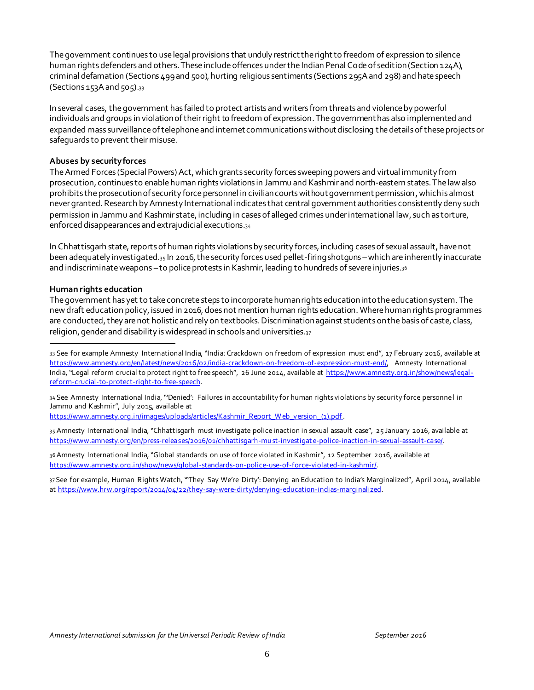The government continues to use legal provisions that unduly restrict the right to freedom of expression to silence human rights defenders and others. These include offences under the Indian Penal Code of sedition (Section 124A), criminal defamation (Sections 499 and 500), hurting religious sentiments (Sections 295A and 298) and hate speech  $(Sections 153A and 505).$ 33

In several cases, the government has failed to protect artists and writers from threats and violence by powerful individuals and groups in violation of their right to freedom of expression. The government has also implemented and expanded mass surveillance of telephone and internet communications without disclosing the details of these projects or safeguards to prevent their misuse.

#### **Abuses by security forces**

The Armed Forces (Special Powers) Act, which grants security forces sweeping powers and virtual immunity from prosecution, continues to enable human rights violations in Jammu and Kashmir and north-eastern states. The law also prohibits the prosecution of security force personnel in civilian courts without government permission, which is almost never granted. Research by Amnesty International indicates that central government authorities consistently deny such permission in Jammu and Kashmir state, including in cases of alleged crimes under international law, such as torture, enforced disappearances and extrajudicial executions.<sup>34</sup>

In Chhattisgarh state, reports of human rights violations by security forces, including cases of sexual assault, have not been adequately investigated.<sup>35</sup> In 2016, the security forces used pellet-firing shotguns –which are inherently inaccurate and indiscriminate weapons – to police protests in Kashmir, leading to hundreds of severe injuries.<sup>36</sup>

#### **Human rights education**

l

The government has yet to take concrete steps to incorporate human rights education into the education system. The new draft education policy, issued in 2016, does not mention human rights education. Where human rights programmes are conducted, they are not holistic and rely on textbooks. Discrimination against students on the basis of caste, class, religion, gender and disability is widespread in schools and universities.<sup>37</sup>

34 See Amnesty International India, "'Denied': Failures in accountability for human rights violations by security force personnel in Jammu and Kashmir", July 2015, available at

https://www.amnesty.org.in/images/uploads/articles/Kashmir\_Report\_Web\_version\_(1).pdf.

35 Amnesty International India, "Chhattisgarh must investigate police inaction in sexual assault case", 25 January 2016, available at [https://www.amnesty.org/en/press-releases/2016/01/chhattisgarh-mu st-investigat e-police-inaction-in-sexual-assault-case/.](https://www.amnesty.org/en/press-releases/2016/01/chhattisgarh-must-investigate-police-inaction-in-sexual-assault-case/)

36 Amnesty International India, "Global standards on use of force violated in Kashmir", 12 September 2016, available at [https://www.amnesty.org.in/show/news/global-standards-on-police-use-of-force-violated-in-kashmir/.](https://www.amnesty.org.in/show/news/global-standards-on-police-use-of-force-violated-in-kashmir/) 

37 See for example, Human Rights Watch, "'They Say We're Dirty': Denying an Education to India's Marginalized", April 2014, available at [https://www.hrw.org/report/2014/04/22/they-say-were-dirty/denying-education-indias-marginalized.](https://www.hrw.org/report/2014/04/22/they-say-were-dirty/denying-education-indias-marginalized) 

<sup>33</sup> See for example Amnesty International India, "India: Crackdown on freedom of expression must end", 17 February 2016, available at [https://www.amnesty.org/en/latest/news/2016/02/india-crackdown-on-freedom-of-expression-must-end/,](https://www.amnesty.org/en/latest/news/2016/02/india-crackdown-on-freedom-of-expression-must-end/) Amnesty International India, "Legal reform crucial to protect right to free speech", 26 June 2014, available at [https://www.amnesty.org.in/show/news/legal](https://www.amnesty.org.in/show/news/legal-reform-crucial-to-protect-right-to-free-speech)[reform-crucial-to-protect-right-to-free-speech.](https://www.amnesty.org.in/show/news/legal-reform-crucial-to-protect-right-to-free-speech)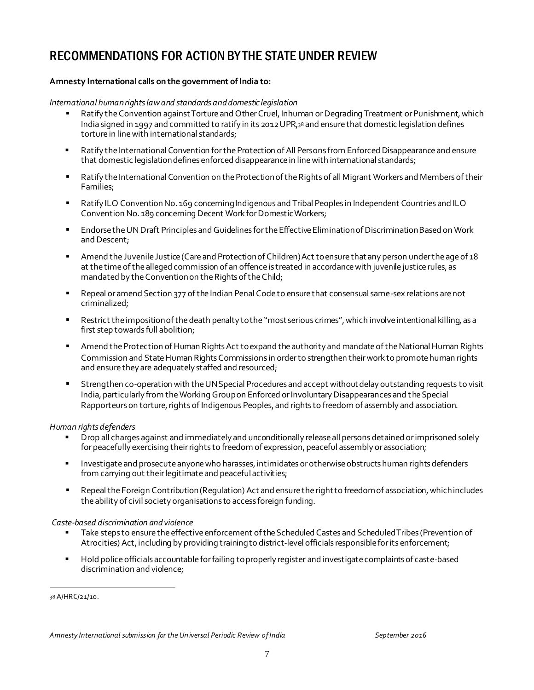## RECOMMENDATIONS FOR ACTION BY THE STATE UNDER REVIEW

#### **Amnesty International calls on the government of India to:**

#### *International human rights law and standards and domestic legislation*

- Ratify the Convention against Torture and Other Cruel, Inhuman or Degrading Treatment or Punishment, which India signed in 1997 and committed to ratify in its 2012 UPR,<sup>38</sup> and ensure that domestic legislation defines torture in line with international standards;
- Ratify the International Convention for the Protection of All Persons from Enforced Disappearanceand ensure that domestic legislation defines enforced disappearance in line with international standards;
- Ratify the International Convention on the Protection of the Rights of all Migrant Workers and Members of their Families;
- Ratify ILO Convention No. 169 concerning Indigenous and Tribal Peoples in Independent Countries and ILO Convention No. 189 concerning Decent Work for Domestic Workers;
- Endorse the UN Draft Principles and Guidelines for the Effective Elimination of Discrimination Based on Work and Descent;
- Amend the Juvenile Justice (Care and Protection of Children) Act to ensure that any person under the age of 18 at the time of the alleged commission of an offence is treated in accordance with juvenile justice rules, as mandated by the Convention on the Rights of the Child;
- Repeal or amend Section 377 of the Indian Penal Code to ensure that consensual same-sex relations are not criminalized;
- Restrict the imposition of the death penalty to the "most serious crimes", which involve intentional killing, as a first step towards full abolition;
- Amend the Protection of Human Rights Act to expand the authority and mandate of the National Human Rights Commission and State Human Rights Commissions in order to strengthen their work to promote human rights and ensure they are adequately staffed and resourced;
- Strengthen co-operation with the UN Special Procedures and accept without delay outstanding requests to visit India, particularly from the Working Group on Enforced or Involuntary Disappearances and the Special Rapporteurs on torture, rights of Indigenous Peoples, and rights to freedom of assembly and association.

#### *Human rights defenders*

- Drop all charges against and immediately and unconditionally release all persons detained or imprisoned solely for peacefully exercising their rights to freedom of expression, peaceful assembly or association;
- Investigate and prosecute anyone who harasses, intimidates or otherwise obstructs human rights defenders from carrying out their legitimate and peacefulactivities;
- Repeal the Foreign Contribution (Regulation) Act and ensure the right to freedom of association, which includes the ability of civil society organisations to access foreign funding.

#### *Caste-based discrimination and violence*

- Take steps to ensure the effective enforcement of the Scheduled Castes and Scheduled Tribes (Prevention of Atrocities) Act, including by providing training to district-level officials responsible for its enforcement;
- Hold police officials accountable for failing to properly register and investigate complaints of caste-based discrimination and violence;

38 A/HRC/21/10.

j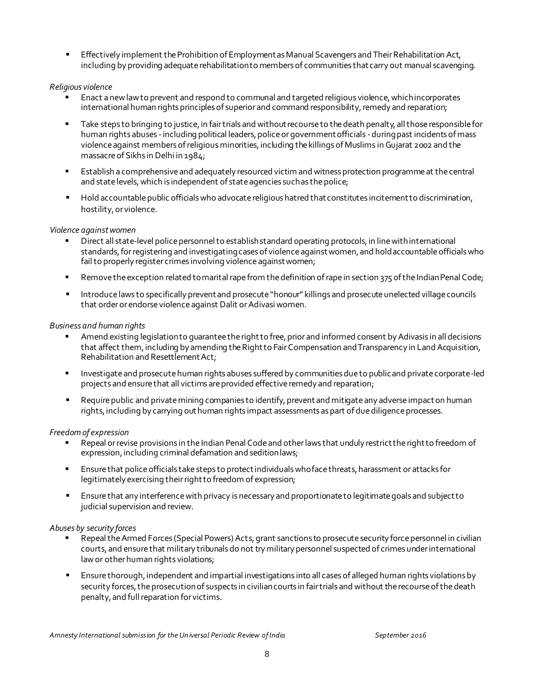**Effectively implement the Prohibition of Employment as Manual Scavengers and Their Rehabilitation Act,** including by providing adequate rehabilitation to members of communities that carry out manual scavenging.

#### *Religious violence*

- Enact a new law to prevent and respond to communal and targeted religious violence, which incorporates international human rights principles of superior and command responsibility, remedy and reparation;
- Take steps to bringing to justice, in fair trials and without recourse to the death penalty, all those responsible for human rights abuses -including political leaders, police or government officials -during past incidents of mass violence against members of religious minorities, including the killings of Muslims in Gujarat 2002 and the massacre of Sikhs in Delhi in 1984;
- Establish a comprehensive and adequately resourced victim and witness protection programme at the central and state levels, which is independent of state agencies such as the police;
- Hold accountable public officials who advocate religious hatred that constitutes incitement to discrimination, hostility, or violence.

#### *Violence against women*

- Direct all state-level police personnel to establish standard operating protocols, in line with international standards, for registering and investigating cases of violence against women, and hold accountable officials who fail to properly register crimes involving violence against women;
- **Remove the exception related to marital rape from the definition of rape in section 375 of the Indian Penal Code;**
- Introduce laws to specifically prevent and prosecute "honour" killings and prosecute unelected village councils that order or endorse violence against Dalit or Adivasi women.

#### *Business and human rights*

- Amend existing legislation to guarantee the right to free, prior and informed consent by Adivasis in all decisions that affect them, including by amending the Right to Fair Compensation and Transparency in Land Acquisition, Rehabilitation and Resettlement Act;
- Investigate and prosecute human rights abuses suffered by communities due to public and private corporate-led projects and ensure that all victims are provided effective remedy and reparation;
- **EXECUTE:** Require public and private mining companies to identify, prevent and mitigate any adverse impact on human rights, including by carrying out human rights impact assessments as part of due diligence processes.

#### *Freedom of expression*

- Repeal or revise provisions in the Indian Penal Code and other laws that unduly restrict the right to freedom of expression, including criminal defamation and sedition laws;
- Ensure that police officials take steps to protect individuals who face threats, harassment or attacks for legitimately exercising their right to freedom of expression;
- Ensure that any interference with privacy is necessary and proportionate to legitimate goals and subject to judicial supervision and review.

#### *Abuses by security forces*

- Repeal the Armed Forces (Special Powers) Acts, grant sanctions to prosecute security force personnel in civilian courts, and ensure that military tribunals do not try military personnel suspected of crimes under international law or other human rights violations;
- Ensure thorough, independent and impartial investigations into all cases of alleged human rights violations by security forces, the prosecution of suspects in civilian courts in fair trials and without the recourse of the death penalty, and full reparation for victims.